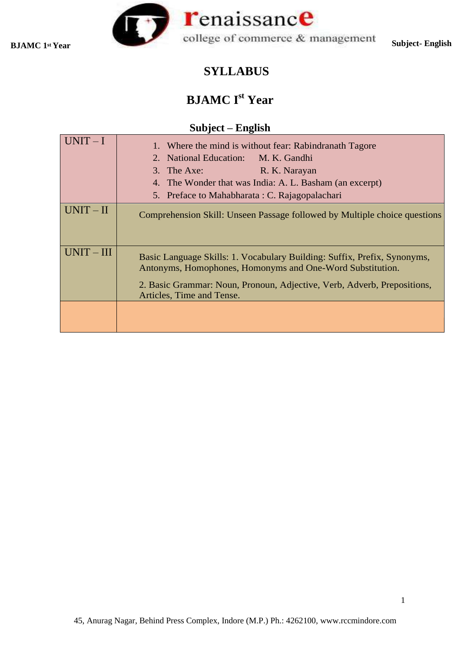

# **SYLLABUS**

# **BJAMC I st Year**

# **Subject – English**

| $UNIT-I$     | Where the mind is without fear: Rabindranath Tagore<br>2. National Education:<br>M. K. Gandhi<br>3. The Axe:<br>R. K. Narayan<br>4. The Wonder that was India: A. L. Basham (an excerpt)<br>5. Preface to Mahabharata: C. Rajagopalachari     |
|--------------|-----------------------------------------------------------------------------------------------------------------------------------------------------------------------------------------------------------------------------------------------|
| $UNIT-II$    | Comprehension Skill: Unseen Passage followed by Multiple choice questions                                                                                                                                                                     |
| $UNIT - III$ | Basic Language Skills: 1. Vocabulary Building: Suffix, Prefix, Synonyms,<br>Antonyms, Homophones, Homonyms and One-Word Substitution.<br>2. Basic Grammar: Noun, Pronoun, Adjective, Verb, Adverb, Prepositions,<br>Articles, Time and Tense. |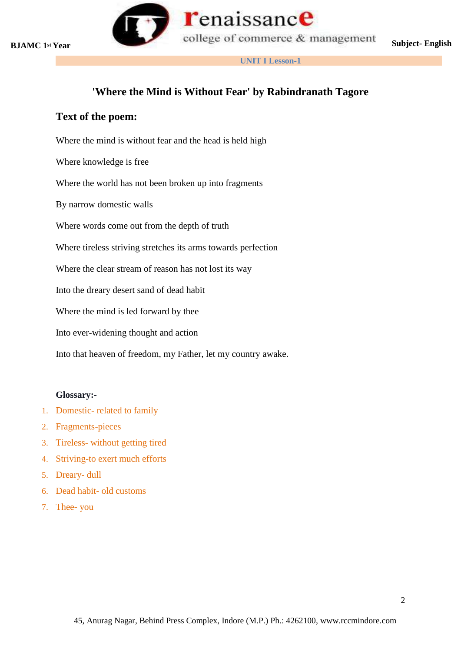

### **UNIT I Lesson-1**

# **'Where the Mind is Without Fear' by Rabindranath Tagore**

## **Text of the poem:**

Where the mind is without fear and the head is held high Where knowledge is free Where the world has not been broken up into fragments By narrow domestic walls Where words come out from the depth of truth Where tireless striving stretches its arms towards perfection Where the clear stream of reason has not lost its way Into the dreary desert sand of dead habit Where the mind is led forward by thee Into ever-widening thought and action Into that heaven of freedom, my Father, let my country awake.

### **Glossary:-**

- 1. Domestic- related to family
- 2. Fragments-pieces
- 3. Tireless- without getting tired
- 4. Striving-to exert much efforts
- 5. Dreary- dull
- 6. Dead habit- old customs
- 7. Thee- you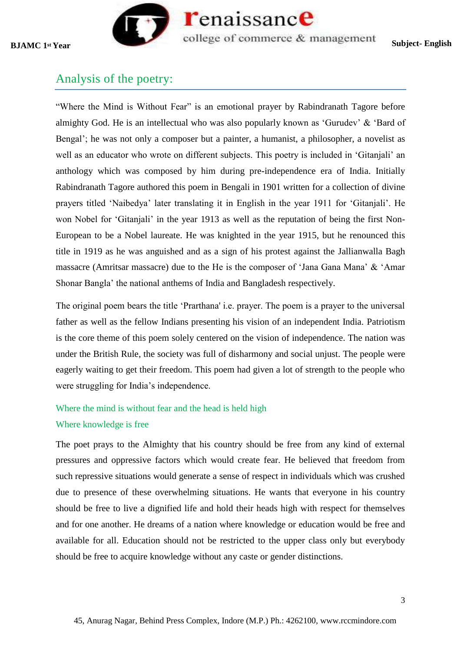

# Analysis of the poetry:

"Where the Mind is Without Fear" is an emotional prayer by Rabindranath Tagore before almighty God. He is an intellectual who was also popularly known as 'Gurudev'  $\&$  'Bard of Bengal'; he was not only a composer but a painter, a humanist, a philosopher, a novelist as well as an educator who wrote on different subjects. This poetry is included in 'Gitanjali' an anthology which was composed by him during pre-independence era of India. Initially Rabindranath Tagore authored this poem in Bengali in 1901 written for a collection of divine prayers titled 'Naibedya' later translating it in English in the year 1911 for 'Gitanjali'. He won Nobel for 'Gitanjali' in the year 1913 as well as the reputation of being the first Non-European to be a Nobel laureate. He was knighted in the year 1915, but he renounced this title in 1919 as he was anguished and as a sign of his protest against the Jallianwalla Bagh massacre (Amritsar massacre) due to the He is the composer of 'Jana Gana Mana' & 'Amar Shonar Bangla' the national anthems of India and Bangladesh respectively.

The original poem bears the title 'Prarthana' i.e. prayer. The poem is a prayer to the universal father as well as the fellow Indians presenting his vision of an independent India. Patriotism is the core theme of this poem solely centered on the vision of independence. The nation was under the British Rule, the society was full of disharmony and social unjust. The people were eagerly waiting to get their freedom. This poem had given a lot of strength to the people who were struggling for India's independence.

# Where the mind is without fear and the head is held high Where knowledge is free

The poet prays to the Almighty that his country should be free from any kind of external pressures and oppressive factors which would create fear. He believed that freedom from such repressive situations would generate a sense of respect in individuals which was crushed due to presence of these overwhelming situations. He wants that everyone in his country should be free to live a dignified life and hold their heads high with respect for themselves and for one another. He dreams of a nation where knowledge or education would be free and available for all. Education should not be restricted to the upper class only but everybody should be free to acquire knowledge without any caste or gender distinctions.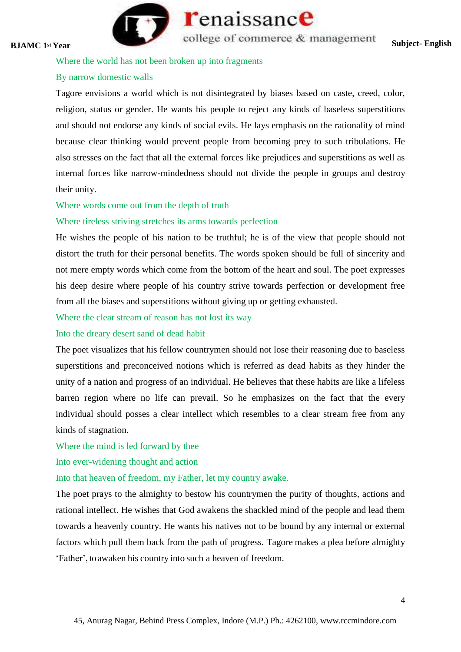

### Where the world has not been broken up into fragments

### By narrow domestic walls

Tagore envisions a world which is not disintegrated by biases based on caste, creed, color, religion, status or gender. He wants his people to reject any kinds of baseless superstitions and should not endorse any kinds of social evils. He lays emphasis on the rationality of mind because clear thinking would prevent people from becoming prey to such tribulations. He also stresses on the fact that all the external forces like prejudices and superstitions as well as internal forces like narrow-mindedness should not divide the people in groups and destroy their unity.

### Where words come out from the depth of truth

### Where tireless striving stretches its arms towards perfection

He wishes the people of his nation to be truthful; he is of the view that people should not distort the truth for their personal benefits. The words spoken should be full of sincerity and not mere empty words which come from the bottom of the heart and soul. The poet expresses his deep desire where people of his country strive towards perfection or development free from all the biases and superstitions without giving up or getting exhausted.

Where the clear stream of reason has not lost its way

Into the dreary desert sand of dead habit

The poet visualizes that his fellow countrymen should not lose their reasoning due to baseless superstitions and preconceived notions which is referred as dead habits as they hinder the unity of a nation and progress of an individual. He believes that these habits are like a lifeless barren region where no life can prevail. So he emphasizes on the fact that the every individual should posses a clear intellect which resembles to a clear stream free from any kinds of stagnation.

Where the mind is led forward by thee

Into ever-widening thought and action

Into that heaven of freedom, my Father, let my country awake.

The poet prays to the almighty to bestow his countrymen the purity of thoughts, actions and rational intellect. He wishes that God awakens the shackled mind of the people and lead them towards a heavenly country. He wants his natives not to be bound by any internal or external factors which pull them back from the path of progress. Tagore makes a plea before almighty ‗Father', to awaken his country into such a heaven of freedom.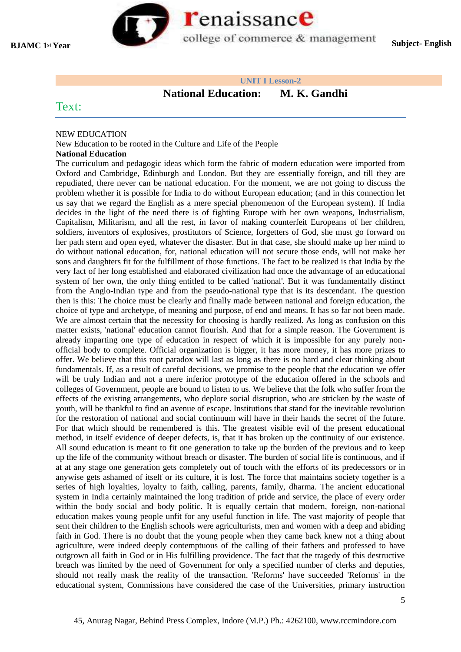

### **UNIT I Lesson-2**

**National Education: M. K. Gandhi**

## Text:

### NEW EDUCATION

New Education to be rooted in the Culture and Life of the People

### **National Education**

The curriculum and pedagogic ideas which form the fabric of modern education were imported from Oxford and Cambridge, Edinburgh and London. But they are essentially foreign, and till they are repudiated, there never can be national education. For the moment, we are not going to discuss the problem whether it is possible for India to do without European education; (and in this connection let us say that we regard the English as a mere special phenomenon of the European system). If India decides in the light of the need there is of fighting Europe with her own weapons, Industrialism, Capitalism, Militarism, and all the rest, in favor of making counterfeit Europeans of her children, soldiers, inventors of explosives, prostitutors of Science, forgetters of God, she must go forward on her path stern and open eyed, whatever the disaster. But in that case, she should make up her mind to do without national education, for, national education will not secure those ends, will not make her sons and daughters fit for the fulfillment of those functions. The fact to be realized is that India by the very fact of her long established and elaborated civilization had once the advantage of an educational system of her own, the only thing entitled to be called 'national'. But it was fundamentally distinct from the Anglo-Indian type and from the pseudo-national type that is its descendant. The question then is this: The choice must be clearly and finally made between national and foreign education, the choice of type and archetype, of meaning and purpose, of end and means. It has so far not been made. We are almost certain that the necessity for choosing is hardly realized. As long as confusion on this matter exists, 'national' education cannot flourish. And that for a simple reason. The Government is already imparting one type of education in respect of which it is impossible for any purely nonofficial body to complete. Official organization is bigger, it has more money, it has more prizes to offer. We believe that this root paradox will last as long as there is no hard and clear thinking about fundamentals. If, as a result of careful decisions, we promise to the people that the education we offer will be truly Indian and not a mere inferior prototype of the education offered in the schools and colleges of Government, people are bound to listen to us. We believe that the folk who suffer from the effects of the existing arrangements, who deplore social disruption, who are stricken by the waste of youth, will be thankful to find an avenue of escape. Institutions that stand for the inevitable revolution for the restoration of national and social continuum will have in their hands the secret of the future. For that which should be remembered is this. The greatest visible evil of the present educational method, in itself evidence of deeper defects, is, that it has broken up the continuity of our existence. All sound education is meant to fit one generation to take up the burden of the previous and to keep up the life of the community without breach or disaster. The burden of social life is continuous, and if at at any stage one generation gets completely out of touch with the efforts of its predecessors or in anywise gets ashamed of itself or its culture, it is lost. The force that maintains society together is a series of high loyalties, loyalty to faith, calling, parents, family, dharma. The ancient educational system in India certainly maintained the long tradition of pride and service, the place of every order within the body social and body politic. It is equally certain that modern, foreign, non-national education makes young people unfit for any useful function in life. The vast majority of people that sent their children to the English schools were agriculturists, men and women with a deep and abiding faith in God. There is no doubt that the young people when they came back knew not a thing about agriculture, were indeed deeply contemptuous of the calling of their fathers and professed to have outgrown all faith in God or in His fulfilling providence. The fact that the tragedy of this destructive breach was limited by the need of Government for only a specified number of clerks and deputies, should not really mask the reality of the transaction. 'Reforms' have succeeded 'Reforms' in the educational system, Commissions have considered the case of the Universities, primary instruction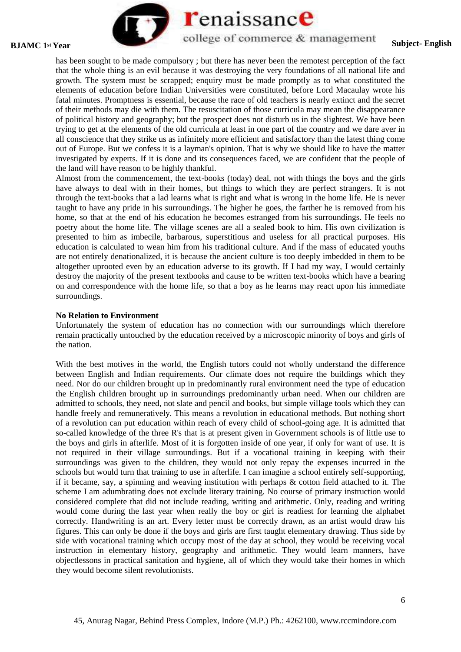



**BJAMC** 1<sup>st</sup> Year Subject- **English** Subject- **English** 

has been sought to be made compulsory ; but there has never been the remotest perception of the fact that the whole thing is an evil because it was destroying the very foundations of all national life and growth. The system must be scrapped; enquiry must be made promptly as to what constituted the elements of education before Indian Universities were constituted, before Lord Macaulay wrote his fatal minutes. Promptness is essential, because the race of old teachers is nearly extinct and the secret of their methods may die with them. The resuscitation of those curricula may mean the disappearance of political history and geography; but the prospect does not disturb us in the slightest. We have been trying to get at the elements of the old curricula at least in one part of the country and we dare aver in all conscience that they strike us as infinitely more efficient and satisfactory than the latest thing come out of Europe. But we confess it is a layman's opinion. That is why we should like to have the matter investigated by experts. If it is done and its consequences faced, we are confident that the people of the land will have reason to be highly thankful.

Almost from the commencement, the text-books (today) deal, not with things the boys and the girls have always to deal with in their homes, but things to which they are perfect strangers. It is not through the text-books that a lad learns what is right and what is wrong in the home life. He is never taught to have any pride in his surroundings. The higher he goes, the farther he is removed from his home, so that at the end of his education he becomes estranged from his surroundings. He feels no poetry about the home life. The village scenes are all a sealed book to him. His own civilization is presented to him as imbecile, barbarous, superstitious and useless for all practical purposes. His education is calculated to wean him from his traditional culture. And if the mass of educated youths are not entirely denationalized, it is because the ancient culture is too deeply imbedded in them to be altogether uprooted even by an education adverse to its growth. If I had my way, I would certainly destroy the majority of the present textbooks and cause to be written text-books which have a bearing on and correspondence with the home life, so that a boy as he learns may react upon his immediate surroundings.

### **No Relation to Environment**

Unfortunately the system of education has no connection with our surroundings which therefore remain practically untouched by the education received by a microscopic minority of boys and girls of the nation.

With the best motives in the world, the English tutors could not wholly understand the difference between English and Indian requirements. Our climate does not require the buildings which they need. Nor do our children brought up in predominantly rural environment need the type of education the English children brought up in surroundings predominantly urban need. When our children are admitted to schools, they need, not slate and pencil and books, but simple village tools which they can handle freely and remuneratively. This means a revolution in educational methods. But nothing short of a revolution can put education within reach of every child of school-going age. It is admitted that so-called knowledge of the three R's that is at present given in Government schools is of little use to the boys and girls in afterlife. Most of it is forgotten inside of one year, if only for want of use. It is not required in their village surroundings. But if a vocational training in keeping with their surroundings was given to the children, they would not only repay the expenses incurred in the schools but would turn that training to use in afterlife. I can imagine a school entirely self-supporting, if it became, say, a spinning and weaving institution with perhaps & cotton field attached to it. The scheme I am adumbrating does not exclude literary training. No course of primary instruction would considered complete that did not include reading, writing and arithmetic. Only, reading and writing would come during the last year when really the boy or girl is readiest for learning the alphabet correctly. Handwriting is an art. Every letter must be correctly drawn, as an artist would draw his figures. This can only be done if the boys and girls are first taught elementary drawing. Thus side by side with vocational training which occupy most of the day at school, they would be receiving vocal instruction in elementary history, geography and arithmetic. They would learn manners, have objectlessons in practical sanitation and hygiene, all of which they would take their homes in which they would become silent revolutionists.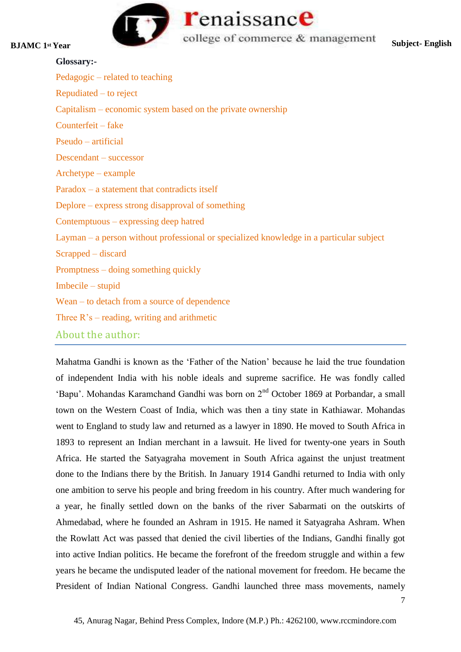

7

Pedagogic – related to teaching Repudiated – to reject Capitalism – economic system based on the private ownership Counterfeit – fake Pseudo – artificial Descendant – successor Archetype – example Paradox – a statement that contradicts itself Deplore – express strong disapproval of something Contemptuous – expressing deep hatred Layman – a person without professional or specialized knowledge in a particular subject Scrapped – discard Promptness – doing something quickly Imbecile – stupid Wean – to detach from a source of dependence Three  $R$ 's – reading, writing and arithmetic About the author:

Mahatma Gandhi is known as the 'Father of the Nation' because he laid the true foundation of independent India with his noble ideals and supreme sacrifice. He was fondly called ‗Bapu'. Mohandas Karamchand Gandhi was born on 2nd October 1869 at Porbandar, a small town on the Western Coast of India, which was then a tiny state in Kathiawar. Mohandas went to England to study law and returned as a lawyer in 1890. He moved to South Africa in 1893 to represent an Indian merchant in a lawsuit. He lived for twenty-one years in South Africa. He started the Satyagraha movement in South Africa against the unjust treatment done to the Indians there by the British. In January 1914 Gandhi returned to India with only one ambition to serve his people and bring freedom in his country. After much wandering for a year, he finally settled down on the banks of the river Sabarmati on the outskirts of Ahmedabad, where he founded an Ashram in 1915. He named it Satyagraha Ashram. When the Rowlatt Act was passed that denied the civil liberties of the Indians, Gandhi finally got into active Indian politics. He became the forefront of the freedom struggle and within a few years he became the undisputed leader of the national movement for freedom. He became the President of Indian National Congress. Gandhi launched three mass movements, namely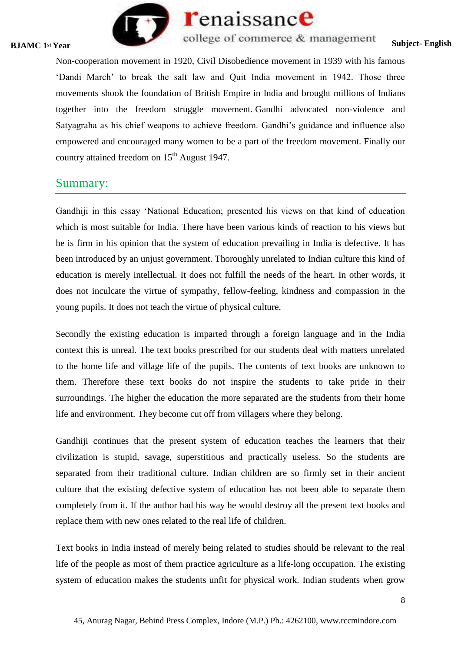

**r**enaissance

**BJAMC** 1<sup>st</sup> Year Subject- **English** Subject- **English** 

Non-cooperation movement in 1920, Civil Disobedience movement in 1939 with his famous ‗Dandi March' to break the salt law and Quit India movement in 1942. Those three movements shook the foundation of British Empire in India and brought millions of Indians together into the freedom struggle movement. Gandhi advocated non-violence and Satyagraha as his chief weapons to achieve freedom. Gandhi's guidance and influence also empowered and encouraged many women to be a part of the freedom movement. Finally our country attained freedom on  $15<sup>th</sup>$  August 1947.

# Summary:

Gandhiji in this essay 'National Education; presented his views on that kind of education which is most suitable for India. There have been various kinds of reaction to his views but he is firm in his opinion that the system of education prevailing in India is defective. It has been introduced by an unjust government. Thoroughly unrelated to Indian culture this kind of education is merely intellectual. It does not fulfill the needs of the heart. In other words, it does not inculcate the virtue of sympathy, fellow-feeling, kindness and compassion in the young pupils. It does not teach the virtue of physical culture.

Secondly the existing education is imparted through a foreign language and in the India context this is unreal. The text books prescribed for our students deal with matters unrelated to the home life and village life of the pupils. The contents of text books are unknown to them. Therefore these text books do not inspire the students to take pride in their surroundings. The higher the education the more separated are the students from their home life and environment. They become cut off from villagers where they belong.

Gandhiji continues that the present system of education teaches the learners that their civilization is stupid, savage, superstitious and practically useless. So the students are separated from their traditional culture. Indian children are so firmly set in their ancient culture that the existing defective system of education has not been able to separate them completely from it. If the author had his way he would destroy all the present text books and replace them with new ones related to the real life of children.

Text books in India instead of merely being related to studies should be relevant to the real life of the people as most of them practice agriculture as a life-long occupation. The existing system of education makes the students unfit for physical work. Indian students when grow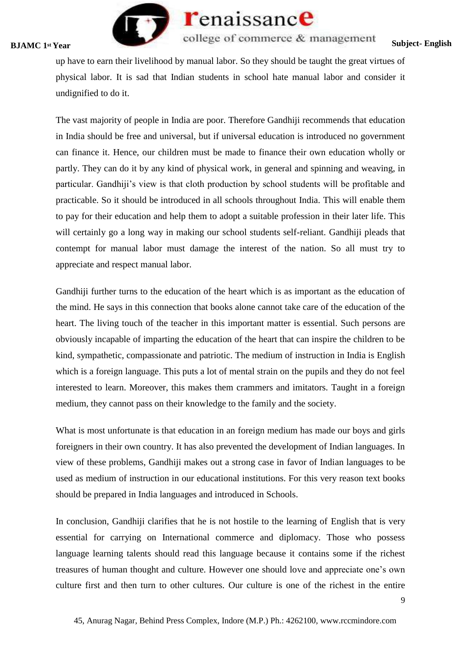



**BJAMC** 1<sup>st</sup> Year Subject-English

up have to earn their livelihood by manual labor. So they should be taught the great virtues of physical labor. It is sad that Indian students in school hate manual labor and consider it undignified to do it.

The vast majority of people in India are poor. Therefore Gandhiji recommends that education in India should be free and universal, but if universal education is introduced no government can finance it. Hence, our children must be made to finance their own education wholly or partly. They can do it by any kind of physical work, in general and spinning and weaving, in particular. Gandhiji's view is that cloth production by school students will be profitable and practicable. So it should be introduced in all schools throughout India. This will enable them to pay for their education and help them to adopt a suitable profession in their later life. This will certainly go a long way in making our school students self-reliant. Gandhiji pleads that contempt for manual labor must damage the interest of the nation. So all must try to appreciate and respect manual labor.

Gandhiji further turns to the education of the heart which is as important as the education of the mind. He says in this connection that books alone cannot take care of the education of the heart. The living touch of the teacher in this important matter is essential. Such persons are obviously incapable of imparting the education of the heart that can inspire the children to be kind, sympathetic, compassionate and patriotic. The medium of instruction in India is English which is a foreign language. This puts a lot of mental strain on the pupils and they do not feel interested to learn. Moreover, this makes them crammers and imitators. Taught in a foreign medium, they cannot pass on their knowledge to the family and the society.

What is most unfortunate is that education in an foreign medium has made our boys and girls foreigners in their own country. It has also prevented the development of Indian languages. In view of these problems, Gandhiji makes out a strong case in favor of Indian languages to be used as medium of instruction in our educational institutions. For this very reason text books should be prepared in India languages and introduced in Schools.

In conclusion, Gandhiji clarifies that he is not hostile to the learning of English that is very essential for carrying on International commerce and diplomacy. Those who possess language learning talents should read this language because it contains some if the richest treasures of human thought and culture. However one should love and appreciate one's own culture first and then turn to other cultures. Our culture is one of the richest in the entire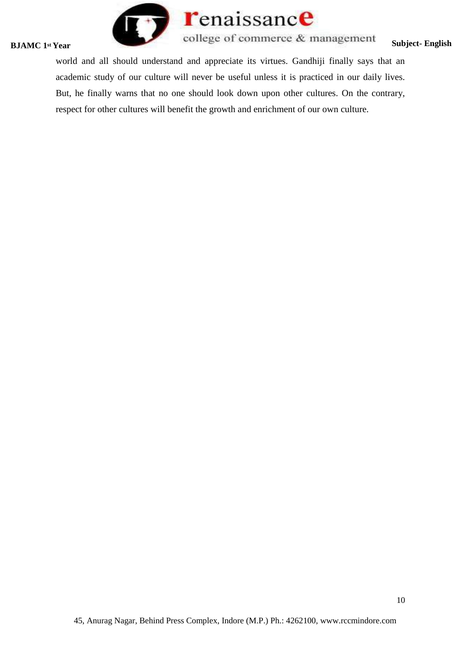

world and all should understand and appreciate its virtues. Gandhiji finally says that an academic study of our culture will never be useful unless it is practiced in our daily lives. But, he finally warns that no one should look down upon other cultures. On the contrary, respect for other cultures will benefit the growth and enrichment of our own culture.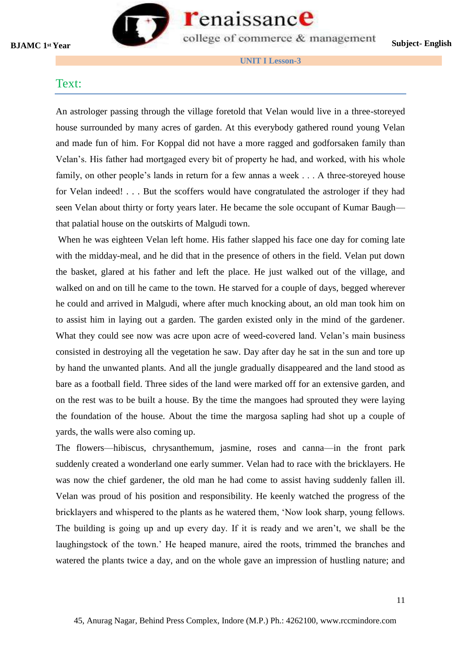

**UNIT I Lesson-3**

# Text:

An astrologer passing through the village foretold that Velan would live in a three-storeyed house surrounded by many acres of garden. At this everybody gathered round young Velan and made fun of him. For Koppal did not have a more ragged and godforsaken family than Velan's. His father had mortgaged every bit of property he had, and worked, with his whole family, on other people's lands in return for a few annas a week . . . A three-storeyed house for Velan indeed! . . . But the scoffers would have congratulated the astrologer if they had seen Velan about thirty or forty years later. He became the sole occupant of Kumar Baugh that palatial house on the outskirts of Malgudi town.

When he was eighteen Velan left home. His father slapped his face one day for coming late with the midday-meal, and he did that in the presence of others in the field. Velan put down the basket, glared at his father and left the place. He just walked out of the village, and walked on and on till he came to the town. He starved for a couple of days, begged wherever he could and arrived in Malgudi, where after much knocking about, an old man took him on to assist him in laying out a garden. The garden existed only in the mind of the gardener. What they could see now was acre upon acre of weed-covered land. Velan's main business consisted in destroying all the vegetation he saw. Day after day he sat in the sun and tore up by hand the unwanted plants. And all the jungle gradually disappeared and the land stood as bare as a football field. Three sides of the land were marked off for an extensive garden, and on the rest was to be built a house. By the time the mangoes had sprouted they were laying the foundation of the house. About the time the margosa sapling had shot up a couple of yards, the walls were also coming up.

The flowers—hibiscus, chrysanthemum, jasmine, roses and canna—in the front park suddenly created a wonderland one early summer. Velan had to race with the bricklayers. He was now the chief gardener, the old man he had come to assist having suddenly fallen ill. Velan was proud of his position and responsibility. He keenly watched the progress of the bricklayers and whispered to the plants as he watered them, 'Now look sharp, young fellows. The building is going up and up every day. If it is ready and we aren't, we shall be the laughingstock of the town.' He heaped manure, aired the roots, trimmed the branches and watered the plants twice a day, and on the whole gave an impression of hustling nature; and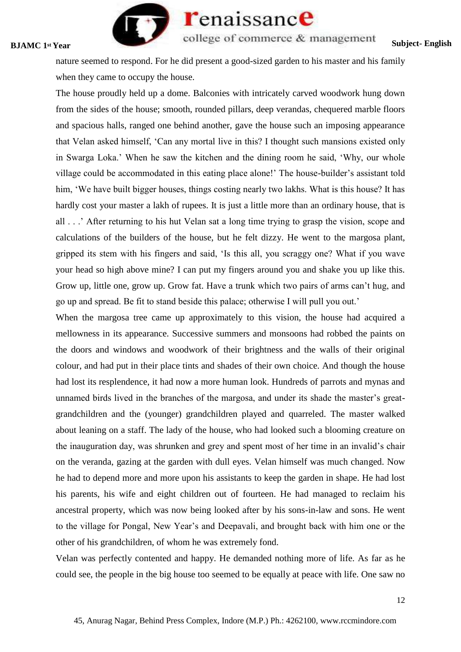

nature seemed to respond. For he did present a good-sized garden to his master and his family when they came to occupy the house.

The house proudly held up a dome. Balconies with intricately carved woodwork hung down from the sides of the house; smooth, rounded pillars, deep verandas, chequered marble floors and spacious halls, ranged one behind another, gave the house such an imposing appearance that Velan asked himself, 'Can any mortal live in this? I thought such mansions existed only in Swarga Loka.' When he saw the kitchen and the dining room he said, 'Why, our whole village could be accommodated in this eating place alone!' The house-builder's assistant told him, 'We have built bigger houses, things costing nearly two lakhs. What is this house? It has hardly cost your master a lakh of rupees. It is just a little more than an ordinary house, that is all . . .' After returning to his hut Velan sat a long time trying to grasp the vision, scope and calculations of the builders of the house, but he felt dizzy. He went to the margosa plant, gripped its stem with his fingers and said, 'Is this all, you scraggy one? What if you wave your head so high above mine? I can put my fingers around you and shake you up like this. Grow up, little one, grow up. Grow fat. Have a trunk which two pairs of arms can't hug, and go up and spread. Be fit to stand beside this palace; otherwise I will pull you out.'

When the margosa tree came up approximately to this vision, the house had acquired a mellowness in its appearance. Successive summers and monsoons had robbed the paints on the doors and windows and woodwork of their brightness and the walls of their original colour, and had put in their place tints and shades of their own choice. And though the house had lost its resplendence, it had now a more human look. Hundreds of parrots and mynas and unnamed birds lived in the branches of the margosa, and under its shade the master's greatgrandchildren and the (younger) grandchildren played and quarreled. The master walked about leaning on a staff. The lady of the house, who had looked such a blooming creature on the inauguration day, was shrunken and grey and spent most of her time in an invalid's chair on the veranda, gazing at the garden with dull eyes. Velan himself was much changed. Now he had to depend more and more upon his assistants to keep the garden in shape. He had lost his parents, his wife and eight children out of fourteen. He had managed to reclaim his ancestral property, which was now being looked after by his sons-in-law and sons. He went to the village for Pongal, New Year's and Deepavali, and brought back with him one or the other of his grandchildren, of whom he was extremely fond.

Velan was perfectly contented and happy. He demanded nothing more of life. As far as he could see, the people in the big house too seemed to be equally at peace with life. One saw no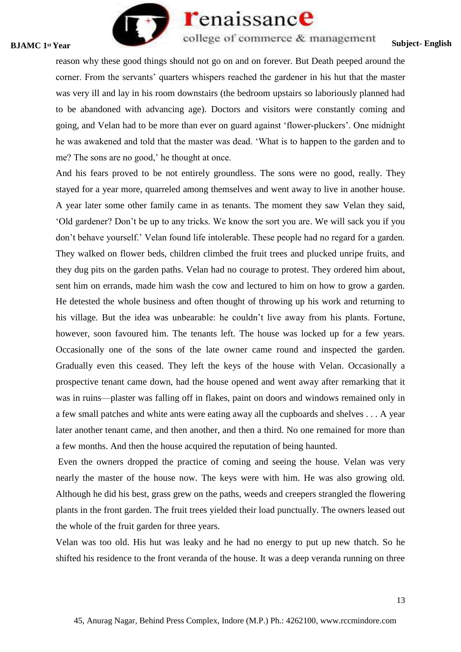



**BJAMC** 1<sup>st</sup> Year Subject-English

reason why these good things should not go on and on forever. But Death peeped around the corner. From the servants' quarters whispers reached the gardener in his hut that the master was very ill and lay in his room downstairs (the bedroom upstairs so laboriously planned had to be abandoned with advancing age). Doctors and visitors were constantly coming and going, and Velan had to be more than ever on guard against ‗flower-pluckers'. One midnight he was awakened and told that the master was dead. 'What is to happen to the garden and to me? The sons are no good,' he thought at once.

And his fears proved to be not entirely groundless. The sons were no good, really. They stayed for a year more, quarreled among themselves and went away to live in another house. A year later some other family came in as tenants. The moment they saw Velan they said, ‗Old gardener? Don't be up to any tricks. We know the sort you are. We will sack you if you don't behave yourself.' Velan found life intolerable. These people had no regard for a garden. They walked on flower beds, children climbed the fruit trees and plucked unripe fruits, and they dug pits on the garden paths. Velan had no courage to protest. They ordered him about, sent him on errands, made him wash the cow and lectured to him on how to grow a garden. He detested the whole business and often thought of throwing up his work and returning to his village. But the idea was unbearable: he couldn't live away from his plants. Fortune, however, soon favoured him. The tenants left. The house was locked up for a few years. Occasionally one of the sons of the late owner came round and inspected the garden. Gradually even this ceased. They left the keys of the house with Velan. Occasionally a prospective tenant came down, had the house opened and went away after remarking that it was in ruins—plaster was falling off in flakes, paint on doors and windows remained only in a few small patches and white ants were eating away all the cupboards and shelves . . . A year later another tenant came, and then another, and then a third. No one remained for more than a few months. And then the house acquired the reputation of being haunted.

Even the owners dropped the practice of coming and seeing the house. Velan was very nearly the master of the house now. The keys were with him. He was also growing old. Although he did his best, grass grew on the paths, weeds and creepers strangled the flowering plants in the front garden. The fruit trees yielded their load punctually. The owners leased out the whole of the fruit garden for three years.

Velan was too old. His hut was leaky and he had no energy to put up new thatch. So he shifted his residence to the front veranda of the house. It was a deep veranda running on three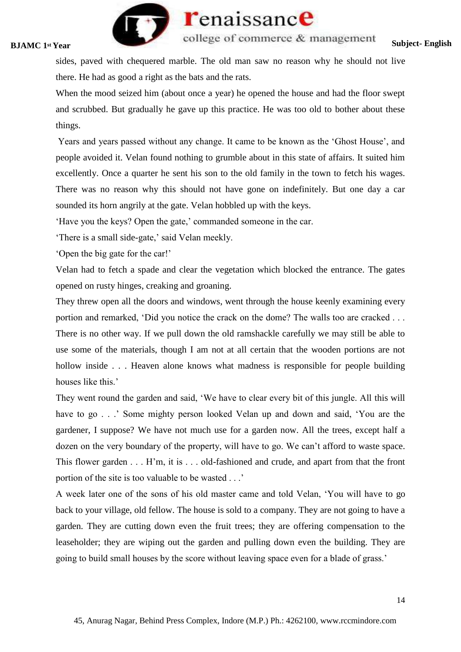

sides, paved with chequered marble. The old man saw no reason why he should not live there. He had as good a right as the bats and the rats.

When the mood seized him (about once a year) he opened the house and had the floor swept and scrubbed. But gradually he gave up this practice. He was too old to bother about these things.

Years and years passed without any change. It came to be known as the 'Ghost House', and people avoided it. Velan found nothing to grumble about in this state of affairs. It suited him excellently. Once a quarter he sent his son to the old family in the town to fetch his wages. There was no reason why this should not have gone on indefinitely. But one day a car sounded its horn angrily at the gate. Velan hobbled up with the keys.

‗Have you the keys? Open the gate,' commanded someone in the car.

‗There is a small side-gate,' said Velan meekly.

‗Open the big gate for the car!'

Velan had to fetch a spade and clear the vegetation which blocked the entrance. The gates opened on rusty hinges, creaking and groaning.

They threw open all the doors and windows, went through the house keenly examining every portion and remarked, 'Did you notice the crack on the dome? The walls too are cracked . . . There is no other way. If we pull down the old ramshackle carefully we may still be able to use some of the materials, though I am not at all certain that the wooden portions are not hollow inside . . . Heaven alone knows what madness is responsible for people building houses like this.'

They went round the garden and said, 'We have to clear every bit of this jungle. All this will have to go . . .' Some mighty person looked Velan up and down and said, 'You are the gardener, I suppose? We have not much use for a garden now. All the trees, except half a dozen on the very boundary of the property, will have to go. We can't afford to waste space. This flower garden . . . H'm, it is . . . old-fashioned and crude, and apart from that the front portion of the site is too valuable to be wasted . . .'

A week later one of the sons of his old master came and told Velan, 'You will have to go back to your village, old fellow. The house is sold to a company. They are not going to have a garden. They are cutting down even the fruit trees; they are offering compensation to the leaseholder; they are wiping out the garden and pulling down even the building. They are going to build small houses by the score without leaving space even for a blade of grass.'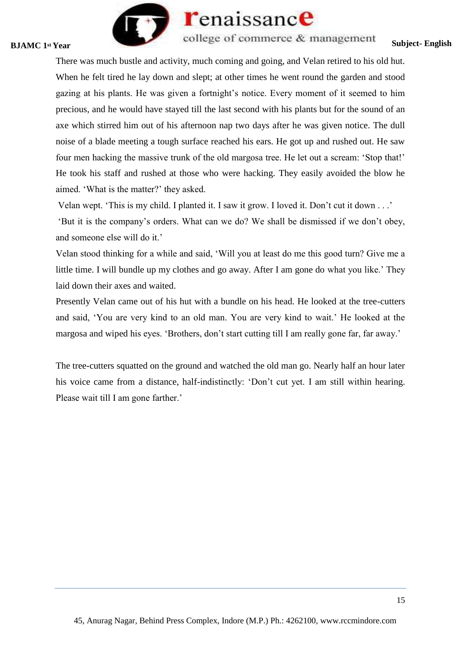

There was much bustle and activity, much coming and going, and Velan retired to his old hut. When he felt tired he lay down and slept; at other times he went round the garden and stood gazing at his plants. He was given a fortnight's notice. Every moment of it seemed to him precious, and he would have stayed till the last second with his plants but for the sound of an axe which stirred him out of his afternoon nap two days after he was given notice. The dull noise of a blade meeting a tough surface reached his ears. He got up and rushed out. He saw four men hacking the massive trunk of the old margosa tree. He let out a scream: 'Stop that!' He took his staff and rushed at those who were hacking. They easily avoided the blow he aimed. 'What is the matter?' they asked.

Velan wept. 'This is my child. I planted it. I saw it grow. I loved it. Don't cut it down . . .'

‗But it is the company's orders. What can we do? We shall be dismissed if we don't obey, and someone else will do it.'

Velan stood thinking for a while and said, ‗Will you at least do me this good turn? Give me a little time. I will bundle up my clothes and go away. After I am gone do what you like.' They laid down their axes and waited.

Presently Velan came out of his hut with a bundle on his head. He looked at the tree-cutters and said, ‗You are very kind to an old man. You are very kind to wait.' He looked at the margosa and wiped his eyes. 'Brothers, don't start cutting till I am really gone far, far away.'

The tree-cutters squatted on the ground and watched the old man go. Nearly half an hour later his voice came from a distance, half-indistinctly: 'Don't cut yet. I am still within hearing. Please wait till I am gone farther.'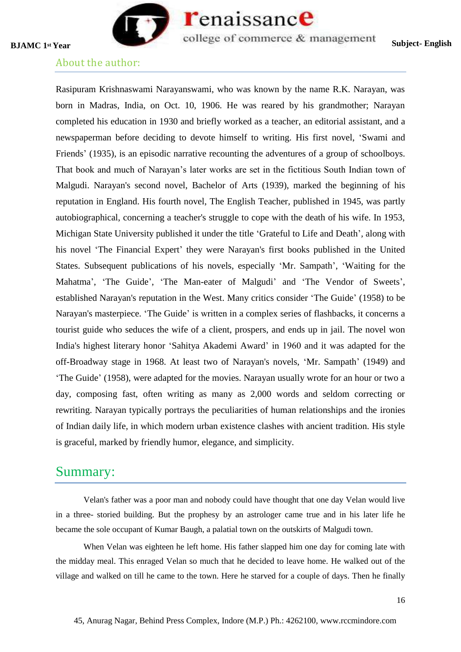

**BJAMC** 1<sup>st</sup> **Year** Subject-English

### About the author:

Rasipuram Krishnaswami Narayanswami, who was known by the name R.K. Narayan, was born in Madras, India, on Oct. 10, 1906. He was reared by his grandmother; Narayan completed his education in 1930 and briefly worked as a teacher, an editorial assistant, and a newspaperman before deciding to devote himself to writing. His first novel, 'Swami and Friends' (1935), is an episodic narrative recounting the adventures of a group of schoolboys. That book and much of Narayan's later works are set in the fictitious South Indian town of Malgudi. Narayan's second novel, Bachelor of Arts (1939), marked the beginning of his reputation in England. His fourth novel, The English Teacher*,* published in 1945, was partly autobiographical, concerning a teacher's struggle to cope with the death of his wife. In 1953, Michigan State University published it under the title ‗Grateful to Life and Death'*,* along with his novel 'The Financial Expert' they were Narayan's first books published in the United States. Subsequent publications of his novels, especially 'Mr. Sampath', 'Waiting for the Mahatma', 'The Guide', 'The Man-eater of Malgudi' and 'The Vendor of Sweets', established Narayan's reputation in the West. Many critics consider 'The Guide' (1958) to be Narayan's masterpiece. 'The Guide' is written in a complex series of flashbacks, it concerns a tourist guide who seduces the wife of a client, prospers, and ends up in jail. The novel won India's highest literary honor 'Sahitya Akademi Award' in 1960 and it was adapted for the off-Broadway stage in 1968. At least two of Narayan's novels, ‗Mr. Sampath' (1949) and ‗The Guide' (1958), were adapted for the movies. Narayan usually wrote for an hour or two a day, composing fast, often writing as many as 2,000 words and seldom correcting or rewriting. Narayan typically portrays the peculiarities of human relationships and the ironies of Indian daily life, in which modern urban existence clashes with ancient tradition. His style is graceful, marked by friendly humor, elegance, and simplicity.

# Summary:

Velan's father was a poor man and nobody could have thought that one day Velan would live in a three- storied building. But the prophesy by an astrologer came true and in his later life he became the sole occupant of Kumar Baugh, a palatial town on the outskirts of Malgudi town.

When Velan was eighteen he left home. His father slapped him one day for coming late with the midday meal. This enraged Velan so much that he decided to leave home. He walked out of the village and walked on till he came to the town. Here he starved for a couple of days. Then he finally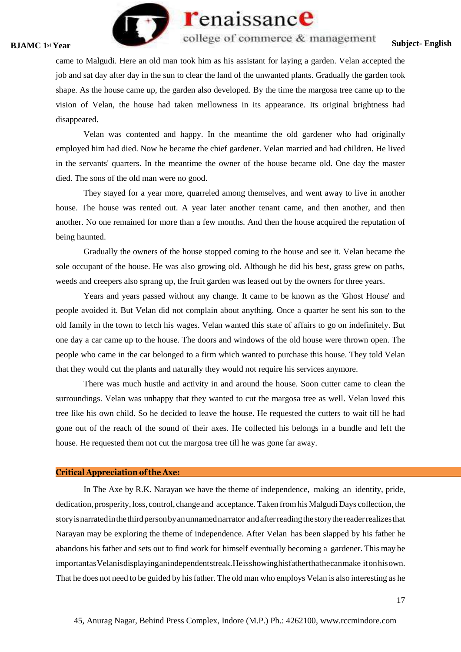



**BJAMC** 1<sup>st</sup> Year Subject- **English** Subject- **English** Subject- **English** 

came to Malgudi. Here an old man took him as his assistant for laying a garden. Velan accepted the job and sat day after day in the sun to clear the land of the unwanted plants. Gradually the garden took shape. As the house came up, the garden also developed. By the time the margosa tree came up to the vision of Velan, the house had taken mellowness in its appearance. Its original brightness had disappeared.

Velan was contented and happy. In the meantime the old gardener who had originally employed him had died. Now he became the chief gardener. Velan married and had children. He lived in the servants' quarters. In the meantime the owner of the house became old. One day the master died. The sons of the old man were no good.

They stayed for a year more, quarreled among themselves, and went away to live in another house. The house was rented out. A year later another tenant came, and then another, and then another. No one remained for more than a few months. And then the house acquired the reputation of being haunted.

Gradually the owners of the house stopped coming to the house and see it. Velan became the sole occupant of the house. He was also growing old. Although he did his best, grass grew on paths, weeds and creepers also sprang up, the fruit garden was leased out by the owners for three years.

Years and years passed without any change. It came to be known as the 'Ghost House' and people avoided it. But Velan did not complain about anything. Once a quarter he sent his son to the old family in the town to fetch his wages. Velan wanted this state of affairs to go on indefinitely. But one day a car came up to the house. The doors and windows of the old house were thrown open. The people who came in the car belonged to a firm which wanted to purchase this house. They told Velan that they would cut the plants and naturally they would not require his services anymore.

There was much hustle and activity in and around the house. Soon cutter came to clean the surroundings. Velan was unhappy that they wanted to cut the margosa tree as well. Velan loved this tree like his own child. So he decided to leave the house. He requested the cutters to wait till he had gone out of the reach of the sound of their axes. He collected his belongs in a bundle and left the house. He requested them not cut the margosa tree till he was gone far away.

### **Critical Appreciation ofthe Axe:**

In The Axe by R.K. Narayan we have the theme of independence, making an identity, pride, dedication, prosperity, loss, control, change and acceptance. Taken from his Malgudi Days collection, the storyisnarratedinthethirdpersonbyanunnamednarrator andafterreadingthestorythereaderrealizesthat Narayan may be exploring the theme of independence. After Velan has been slapped by his father he abandons his father and sets out to find work for himself eventually becoming a gardener. This may be importantasVelanisdisplayinganindependentstreak.Heisshowinghisfatherthathecanmake itonhisown. That he does not need to be guided by his father. The old man who employs Velan is also interesting as he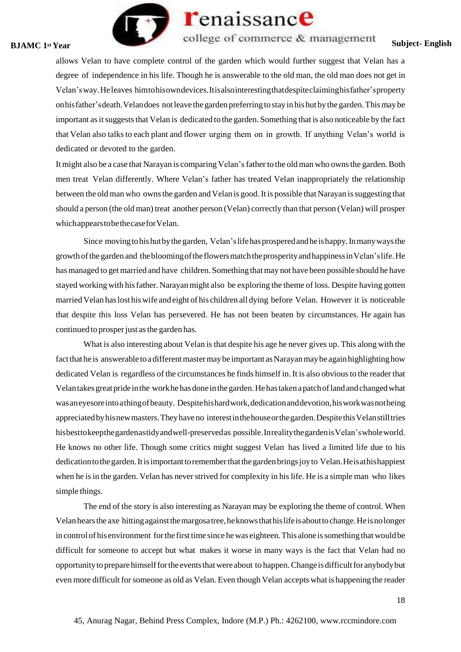



**BJAMC** 1<sup>st</sup> Year Subject- **English** Subject- **English** Subject- **English** 

allows Velan to have complete control of the garden which would further suggest that Velan has a degree of independence in his life. Though he is answerable to the old man, the old man does not get in Velan'sway.Heleaves himtohisowndevices.Itisalsointerestingthatdespiteclaiminghisfather'sproperty onhisfather'sdeath.Velandoes notleave the garden preferringto stayin his hut bythe garden.Thismaybe important as it suggests that Velan is dedicated to the garden. Something that is also noticeable by the fact that Velan also talksto each plant and flower urging them on in growth. If anything Velan's world is dedicated or devoted to the garden.

It might also be a case that Narayan is comparing Velan's father to the oldman who owns the garden. Both men treat Velan differently. Where Velan's father has treated Velan inappropriately the relationship between the oldman who ownsthe garden andVelan is good.It is possible that Narayan issuggesting that should a person (the oldman) treat another person (Velan) correctly than that person (Velan) will prosper whichappearstobethecaseforVelan.

Since movingtohishutbythegarden, Velan'slifehasprosperedandheishappy.Inmanywaysthe growth ofthe garden and thebloomingoftheflowersmatchtheprosperityandhappinessinVelan'slife.He has managed to get married and have children. Something thatmay not have been possible should he have stayed working with his father. Narayan might also be exploring the theme of loss. Despite having gotten marriedVelan haslost his wife and eight of his children all dying before Velan. However it is noticeable that despite this loss Velan has persevered. He has not been beaten by circumstances. He again has continued to prosperjust asthe garden has.

What is also interesting about Velan is that despite his age he never gives up. This along with the fact that he is answerable to a different master may be important as Narayan may be again highlighting how dedicated Velan is regardless of the circumstances he finds himself in.It is also obviousto the reader that Velantakes great pride in the work he has done in the garden. He has taken a patch of land and changed what wasaneyesoreintoathingofbeauty. Despitehishardwork,dedicationanddevotion,hisworkwasnotbeing appreciatedbyhisnewmasters.Theyhaveno interestinthehouseorthegarden.DespitethisVelanstilltries hisbesttokeepthegardenastidyandwell-preservedas possible.InrealitythegardenisVelan'swholeworld. He knows no other life. Though some critics might suggest Velan has lived a limited life due to his dedication to the garden. It is important to remember that the garden brings joy to Velan. He is at his happiest when he is in the garden. Velan has never strived for complexity in his life. He is a simple man who likes simple things.

The end of the story is also interesting as Narayan may be exploring the theme of control. When Velanhearsthe axe hittingagainstthemargosatree,heknowsthathislifeisabouttochange.Heisnolonger in control of his environment for the first time since he was eighteen. This alone is something that would be difficult for someone to accept but what makes it worse in many ways is the fact that Velan had no opportunity to prepare himself for the events that were about to happen. Change is difficult for anybody but even more difficult for someone as old as Velan. Even though Velan accepts what is happening the reader